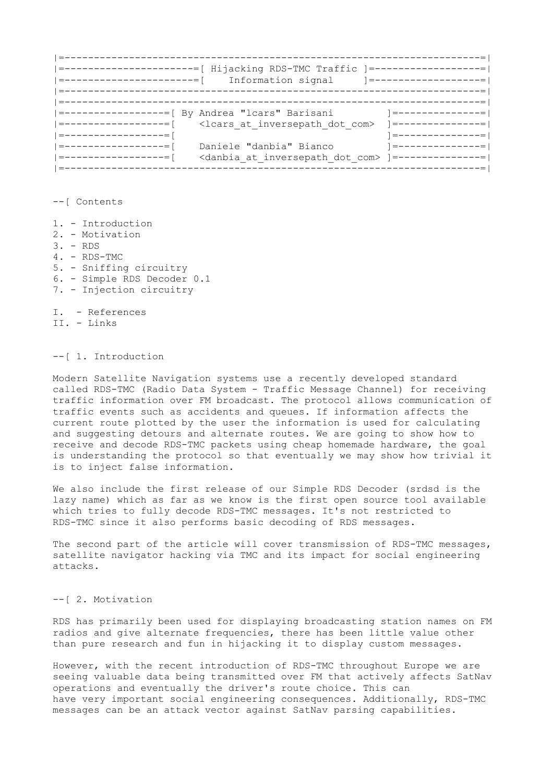|=-----------------------------------------------------------------------=| |=----------------------=[ Hijacking RDS-TMC Traffic ]=------------------=| |=----------------------=[ Information signal ]=------------------=| |=-----------------------------------------------------------------------=| |=-----------------------------------------------------------------------=| |=-----------------=[ By Andrea "lcars" Barisani ]=--------------=| |=-----------------=[ <lcars\_at\_inversepath\_dot\_com> ]=--------------=| |=----------------=[<br>|=---------------=[ Daniele "danbia" Bianco |=---------------|=-----------------=[ Daniele "danbia" Bianco ]=--------------=| |=-----------------=[ <danbia\_at\_inversepath\_dot\_com> ]=--------------=| |=-----------------------------------------------------------------------=|

--[ Contents

- 1. Introduction
- 2. Motivation
- 3. RDS
- 4. RDS-TMC
- 5. Sniffing circuitry
- 6. Simple RDS Decoder 0.1
- 7. Injection circuitry

I. - References II. - Links

--[ 1. Introduction

Modern Satellite Navigation systems use a recently developed standard called RDS-TMC (Radio Data System - Traffic Message Channel) for receiving traffic information over FM broadcast. The protocol allows communication of traffic events such as accidents and queues. If information affects the current route plotted by the user the information is used for calculating and suggesting detours and alternate routes. We are going to show how to receive and decode RDS-TMC packets using cheap homemade hardware, the goal is understanding the protocol so that eventually we may show how trivial it is to inject false information.

We also include the first release of our Simple RDS Decoder (srdsd is the lazy name) which as far as we know is the first open source tool available which tries to fully decode RDS-TMC messages. It's not restricted to RDS-TMC since it also performs basic decoding of RDS messages.

The second part of the article will cover transmission of RDS-TMC messages, satellite navigator hacking via TMC and its impact for social engineering attacks.

## --[ 2. Motivation

RDS has primarily been used for displaying broadcasting station names on FM radios and give alternate frequencies, there has been little value other than pure research and fun in hijacking it to display custom messages.

However, with the recent introduction of RDS-TMC throughout Europe we are seeing valuable data being transmitted over FM that actively affects SatNav operations and eventually the driver's route choice. This can have very important social engineering consequences. Additionally, RDS-TMC messages can be an attack vector against SatNav parsing capabilities.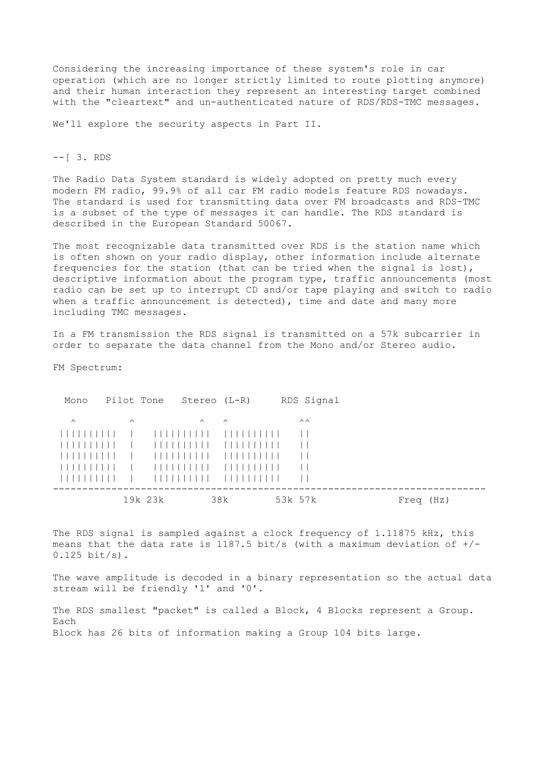Considering the increasing importance of these system's role in car operation (which are no longer strictly limited to route plotting anymore) and their human interaction they represent an interesting target combined with the "cleartext" and un-authenticated nature of RDS/RDS-TMC messages.

We'll explore the security aspects in Part II.

--[ 3. RDS

The Radio Data System standard is widely adopted on pretty much every modern FM radio, 99.9% of all car FM radio models feature RDS nowadays. The standard is used for transmitting data over FM broadcasts and RDS-TMC is a subset of the type of messages it can handle. The RDS standard is described in the European Standard 50067.

The most recognizable data transmitted over RDS is the station name which is often shown on your radio display, other information include alternate frequencies for the station (that can be tried when the signal is lost), descriptive information about the program type, traffic announcements (most radio can be set up to interrupt CD and/or tape playing and switch to radio when a traffic announcement is detected), time and date and many more including TMC messages.

In a FM transmission the RDS signal is transmitted on a 57k subcarrier in order to separate the data channel from the Mono and/or Stereo audio.

FM Spectrum:

| Mono     |          | Pilot Tone Stereo (L-R) |          |        | RDS Signal     |           |
|----------|----------|-------------------------|----------|--------|----------------|-----------|
| $\wedge$ | $\wedge$ |                         | $\wedge$ | $\sim$ | $\wedge\wedge$ |           |
|          |          |                         |          |        | $\perp$        |           |
|          |          |                         |          |        | $\perp$        |           |
| .        |          |                         |          |        | $\perp$        |           |
| 111111   |          |                         |          |        | $\perp$        |           |
| ------   |          |                         |          |        | $\perp$        |           |
|          |          | 19k 23k                 |          | 38k    | 53k 57k        | Freq (Hz) |

The RDS signal is sampled against a clock frequency of 1.11875 kHz, this means that the data rate is 1187.5 bit/s (with a maximum deviation of  $+/-$ 0.125 bit/s).

The wave amplitude is decoded in a binary representation so the actual data stream will be friendly '1' and '0'.

The RDS smallest "packet" is called a Block, 4 Blocks represent a Group. Each Block has 26 bits of information making a Group 104 bits large.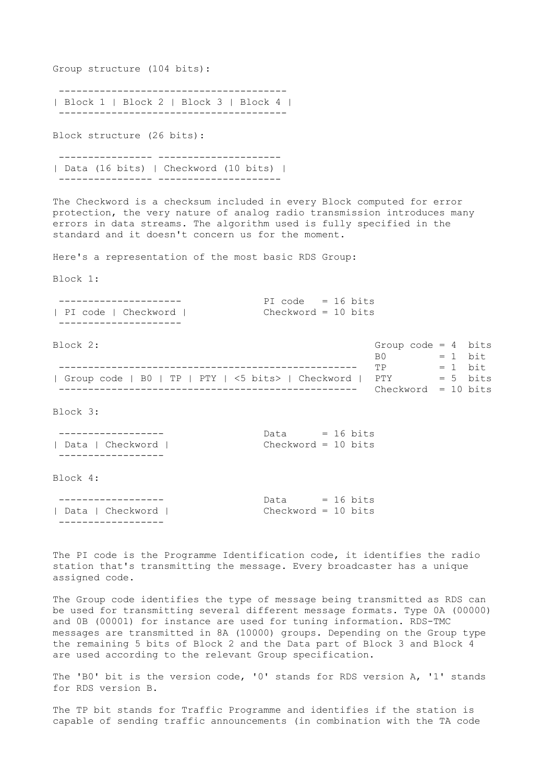Group structure (104 bits):

 --------------------------------------- | Block 1 | Block 2 | Block 3 | Block 4 | ---------------------------------------

Block structure (26 bits):

 ---------------- --------------------- | Data (16 bits) | Checkword (10 bits) | ---------------- ---------------------

The Checkword is a checksum included in every Block computed for error protection, the very nature of analog radio transmission introduces many errors in data streams. The algorithm used is fully specified in the standard and it doesn't concern us for the moment.

Here's a representation of the most basic RDS Group:

Block 1:

|                     | PI code = $16 \text{ bits}$ |  |  |  |  |
|---------------------|-----------------------------|--|--|--|--|
| PI code   Checkword | Checkword = 10 bits         |  |  |  |  |
|                     |                             |  |  |  |  |

Block 2: Group code = 4 bits

|                                                         | RO                    | $= 1$ bit  |
|---------------------------------------------------------|-----------------------|------------|
|                                                         | 甲P                    | $= 1$ bit  |
| Group code   B0   TP   PTY   <5 bits>   Checkword   PTY |                       | $= 5$ bits |
|                                                         | $checkword = 10 bits$ |            |

Block 3:

|                  | Data                |  |  | $= 16$ bits |  |
|------------------|---------------------|--|--|-------------|--|
| Data   Checkword | Checkword = 10 bits |  |  |             |  |
|                  |                     |  |  |             |  |

Block 4:

|                  | Data                |  |  | $= 16$ bits |
|------------------|---------------------|--|--|-------------|
| Data   Checkword | Checkword = 10 bits |  |  |             |
|                  |                     |  |  |             |

The PI code is the Programme Identification code, it identifies the radio station that's transmitting the message. Every broadcaster has a unique assigned code.

The Group code identifies the type of message being transmitted as RDS can be used for transmitting several different message formats. Type 0A (00000) and 0B (00001) for instance are used for tuning information. RDS-TMC messages are transmitted in 8A (10000) groups. Depending on the Group type the remaining 5 bits of Block 2 and the Data part of Block 3 and Block 4 are used according to the relevant Group specification.

The 'B0' bit is the version code, '0' stands for RDS version A, '1' stands for RDS version B.

The TP bit stands for Traffic Programme and identifies if the station is capable of sending traffic announcements (in combination with the TA code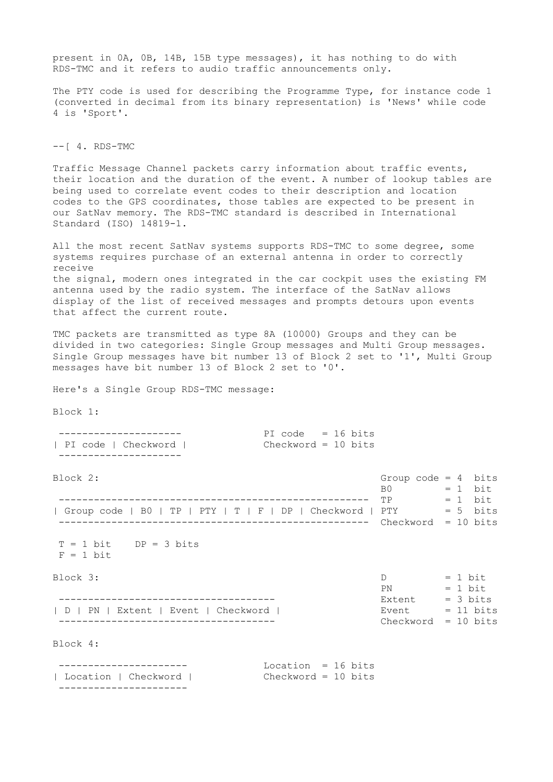present in 0A, 0B, 14B, 15B type messages), it has nothing to do with RDS-TMC and it refers to audio traffic announcements only. The PTY code is used for describing the Programme Type, for instance code 1 (converted in decimal from its binary representation) is 'News' while code 4 is 'Sport'.  $--$ [ 4. RDS-TMC Traffic Message Channel packets carry information about traffic events, their location and the duration of the event. A number of lookup tables are being used to correlate event codes to their description and location codes to the GPS coordinates, those tables are expected to be present in our SatNav memory. The RDS-TMC standard is described in International Standard (ISO) 14819-1. All the most recent SatNav systems supports RDS-TMC to some degree, some systems requires purchase of an external antenna in order to correctly receive the signal, modern ones integrated in the car cockpit uses the existing FM antenna used by the radio system. The interface of the SatNav allows display of the list of received messages and prompts detours upon events that affect the current route. TMC packets are transmitted as type 8A (10000) Groups and they can be divided in two categories: Single Group messages and Multi Group messages. Single Group messages have bit number 13 of Block 2 set to '1', Multi Group messages have bit number 13 of Block 2 set to '0'. Here's a Single Group RDS-TMC message: Block 1: --------------------- PI code = 16 bits | PI code | Checkword | Checkword = 10 bits --------------------- Block 2: Group code = 4 bits B0 = 1 bit<br>
TP = 1 bit ----------------------------------------------------- TP = 1 bit | Group code | B0 | TP | PTY | T | F | DP | Checkword | PTY = = 5 bits ----------------------------------------------------- Checkword = 10 bits  $T = 1$  bit  $DP = 3$  bits  $F = 1$  bit Block 3:  $D = 1$  bit  $\mathbb{P}N = 1 \text{ bit}$  ------------------------------------- Extent = 3 bits | D | PN | Extent | Event | Checkword | ------------------------------------- Checkword = 10 bits Block 4: ---------------------- Location = 16 bits | Location | Checkword | Checkword = 10 bits ----------------------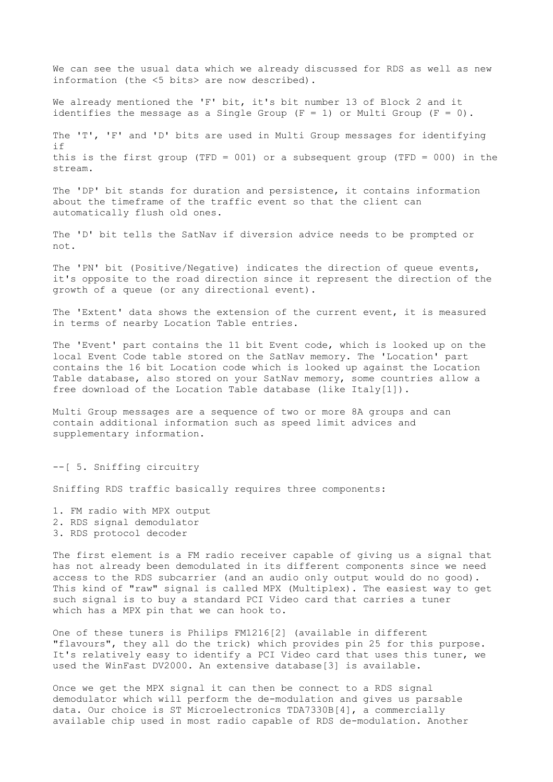We can see the usual data which we already discussed for RDS as well as new information (the <5 bits> are now described).

We already mentioned the 'F' bit, it's bit number 13 of Block 2 and it identifies the message as a Single Group  $(F = 1)$  or Multi Group  $(F = 0)$ .

The 'T', 'F' and 'D' bits are used in Multi Group messages for identifying if this is the first group (TFD = 001) or a subsequent group (TFD = 000) in the stream.

The 'DP' bit stands for duration and persistence, it contains information about the timeframe of the traffic event so that the client can automatically flush old ones.

The 'D' bit tells the SatNav if diversion advice needs to be prompted or not.

The 'PN' bit (Positive/Negative) indicates the direction of queue events, it's opposite to the road direction since it represent the direction of the growth of a queue (or any directional event).

The 'Extent' data shows the extension of the current event, it is measured in terms of nearby Location Table entries.

The 'Event' part contains the 11 bit Event code, which is looked up on the local Event Code table stored on the SatNav memory. The 'Location' part contains the 16 bit Location code which is looked up against the Location Table database, also stored on your SatNav memory, some countries allow a free download of the Location Table database (like Italy[1]).

Multi Group messages are a sequence of two or more 8A groups and can contain additional information such as speed limit advices and supplementary information.

--[ 5. Sniffing circuitry

Sniffing RDS traffic basically requires three components:

- 1. FM radio with MPX output
- 2. RDS signal demodulator
- 3. RDS protocol decoder

The first element is a FM radio receiver capable of giving us a signal that has not already been demodulated in its different components since we need access to the RDS subcarrier (and an audio only output would do no good). This kind of "raw" signal is called MPX (Multiplex). The easiest way to get such signal is to buy a standard PCI Video card that carries a tuner which has a MPX pin that we can hook to.

One of these tuners is Philips FM1216[2] (available in different "flavours", they all do the trick) which provides pin 25 for this purpose. It's relatively easy to identify a PCI Video card that uses this tuner, we used the WinFast DV2000. An extensive database[3] is available.

Once we get the MPX signal it can then be connect to a RDS signal demodulator which will perform the de-modulation and gives us parsable data. Our choice is ST Microelectronics TDA7330B[4], a commercially available chip used in most radio capable of RDS de-modulation. Another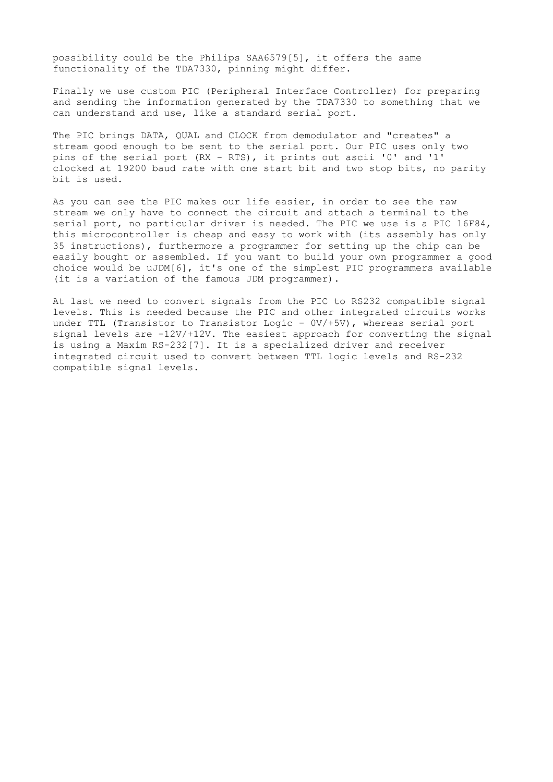possibility could be the Philips SAA6579[5], it offers the same functionality of the TDA7330, pinning might differ.

Finally we use custom PIC (Peripheral Interface Controller) for preparing and sending the information generated by the TDA7330 to something that we can understand and use, like a standard serial port.

The PIC brings DATA, QUAL and CLOCK from demodulator and "creates" a stream good enough to be sent to the serial port. Our PIC uses only two pins of the serial port (RX - RTS), it prints out ascii '0' and '1' clocked at 19200 baud rate with one start bit and two stop bits, no parity bit is used.

As you can see the PIC makes our life easier, in order to see the raw stream we only have to connect the circuit and attach a terminal to the serial port, no particular driver is needed. The PIC we use is a PIC 16F84, this microcontroller is cheap and easy to work with (its assembly has only 35 instructions), furthermore a programmer for setting up the chip can be easily bought or assembled. If you want to build your own programmer a good choice would be uJDM[6], it's one of the simplest PIC programmers available (it is a variation of the famous JDM programmer).

At last we need to convert signals from the PIC to RS232 compatible signal levels. This is needed because the PIC and other integrated circuits works under TTL (Transistor to Transistor Logic - 0V/+5V), whereas serial port signal levels are -12V/+12V. The easiest approach for converting the signal is using a Maxim RS-232[7]. It is a specialized driver and receiver integrated circuit used to convert between TTL logic levels and RS-232 compatible signal levels.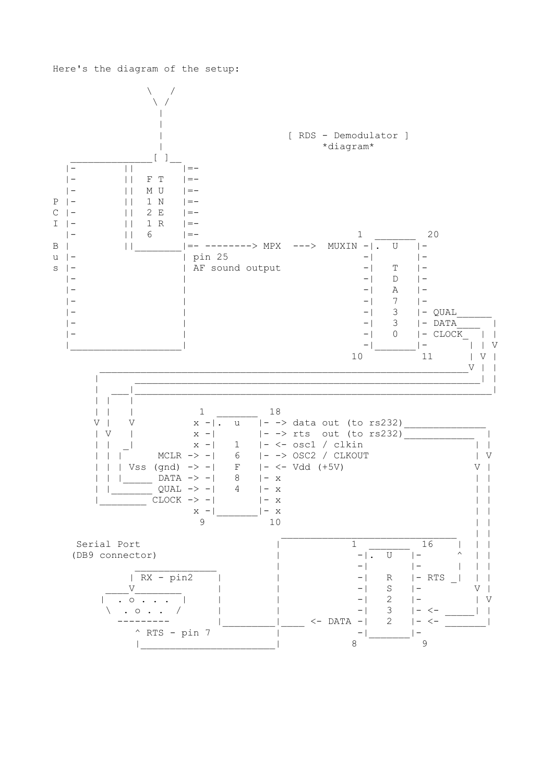

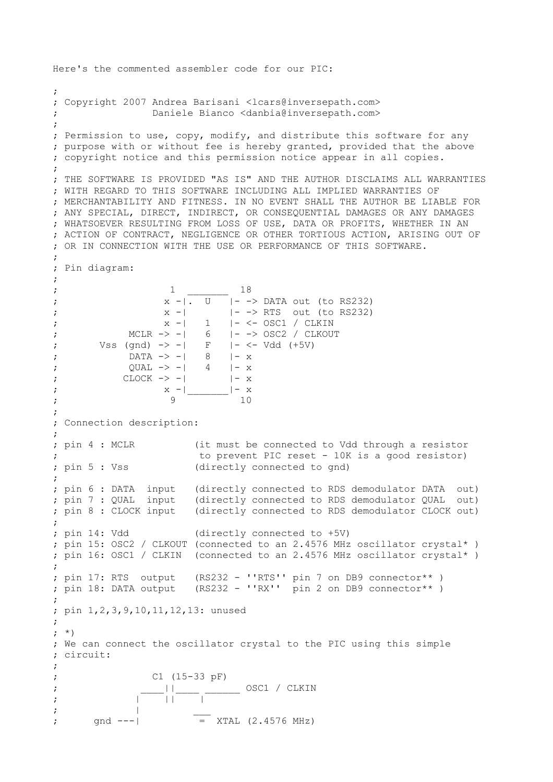```
Here's the commented assembler code for our PIC:
; 
; Copyright 2007 Andrea Barisani <lcars@inversepath.com>
                Daniele Bianco <danbia@inversepath.com>
;
; Permission to use, copy, modify, and distribute this software for any
; purpose with or without fee is hereby granted, provided that the above
; copyright notice and this permission notice appear in all copies.
;
; THE SOFTWARE IS PROVIDED "AS IS" AND THE AUTHOR DISCLAIMS ALL WARRANTIES
; WITH REGARD TO THIS SOFTWARE INCLUDING ALL IMPLIED WARRANTIES OF
; MERCHANTABILITY AND FITNESS. IN NO EVENT SHALL THE AUTHOR BE LIABLE FOR
; ANY SPECIAL, DIRECT, INDIRECT, OR CONSEQUENTIAL DAMAGES OR ANY DAMAGES
; WHATSOEVER RESULTING FROM LOSS OF USE, DATA OR PROFITS, WHETHER IN AN
; ACTION OF CONTRACT, NEGLIGENCE OR OTHER TORTIOUS ACTION, ARISING OUT OF
; OR IN CONNECTION WITH THE USE OR PERFORMANCE OF THIS SOFTWARE.
;
; Pin diagram: 
;
; the contract of \frac{1}{1} and \frac{18}{18};<br>
x -| U |- -> DATA out (to RS232)<br>
x -| |- -> RTS out (to RS232)
; x -| | - -> RTS out (to RS232)
; x -| 1 |- <- OSC1 / CLKIN 
; MCLR -> -| 6 |- -> OSC2 / CLKOUT
; Vss (gnd) \rightarrow -| F |- <- Vdd (+5V)
; DATA -> -| 8 |- x 
; QUAL \rightarrow -| 4 | - x; CLOCK -> -| |-x|; X - | x
; \hspace{1.6cm} 9 10
;
; Connection description:
; 
; pin 4 : MCLR (it must be connected to Vdd through a resistor
                       to prevent PIC reset - 10K is a good resistor)
; pin 5 : Vss (directly connected to gnd)
;
; pin 6 : DATA input (directly connected to RDS demodulator DATA out)
; pin 7 : QUAL input (directly connected to RDS demodulator QUAL out)
; pin 8 : CLOCK input (directly connected to RDS demodulator CLOCK out)
;
; pin 14: Vdd (directly connected to +5V)
; pin 15: OSC2 / CLKOUT (connected to an 2.4576 MHz oscillator crystal* )
; pin 16: OSC1 / CLKIN (connected to an 2.4576 MHz oscillator crystal* )
; 
; pin 17: RTS output (RS232 - ''RTS'' pin 7 on DB9 connector** )
; pin 18: DATA output (RS232 - ''RX'' pin 2 on DB9 connector** )
; 
; pin 1,2,3,9,10,11,12,13: unused
; 
; *)
; We can connect the oscillator crystal to the PIC using this simple 
; circuit:
; 
; C1 (15-33 pF)
; ____||____ ______ OSC1 / CLKIN 
\mathbf{z} , and \mathbf{z} is the set of \mathbf{z} is the set of \mathbf{z}; | ___
       \sqrt{1 - -1} = XTAL (2.4576 MHz)
```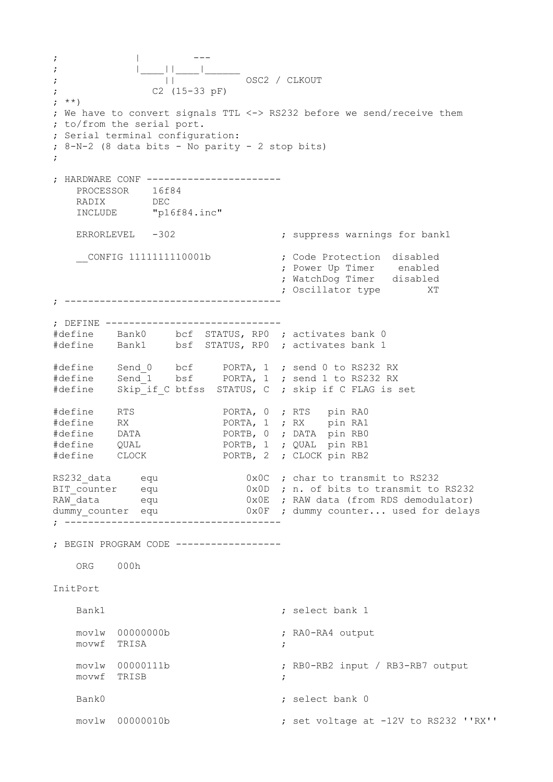; | --- ; |\_\_\_\_||\_\_\_\_|\_\_\_\_\_\_ ;  $||$  OSC2 / CLKOUT ; C2 (15-33 pF) ; \*\*) ; We have to convert signals TTL <-> RS232 before we send/receive them ; to/from the serial port. ; Serial terminal configuration: ; 8-N-2 (8 data bits - No parity - 2 stop bits) ; ; HARDWARE CONF ----------------------- PROCESSOR 16f84 RADIX DEC INCLUDE "p16f84.inc" ERRORLEVEL -302 ; suppress warnings for bank1 \_\_CONFIG 1111111110001b ; Code Protection disabled ; Power Up Timer enabled ; WatchDog Timer disabled ; Oscillator type XT ; ------------------------------------- ; DEFINE ------------------------------ #define Bank0 bcf STATUS, RP0 ; activates bank 0 #define Bank1 bsf STATUS, RP0 ; activates bank 1 #define Send 0 bcf PORTA, 1 ; send 0 to RS232 RX #define Send\_1 bsf PORTA, 1 ; send 1 to RS232 RX #define Skip\_if\_C btfss STATUS, C ; skip if C FLAG is set #define RTS PORTA, 0 ; RTS pin RAO<br>#define RX PORTA, 1 ; RX pin RA1 PORTA, 1 ; RX pin RA1 #define DATA PORTB, 0 ; DATA pin RB0 #define QUAL PORTB, 1 ; QUAL pin RB1 #define CLOCK PORTB, 2 ; CLOCK pin RB2 RS232\_data equ  $0x0C$ ; char to transmit to RS232<br>BIT\_counter equ  $0x0D$ ; n. of bits to transmit to<br>RAW\_data equ  $0x0E$ ; RAW data (from RDS demodu  $0x0D$  ; n. of bits to transmit to RS232 RAW\_data equ  $0x0E$  ; RAW data (from RDS demodulator) dummy\_counter equ 0x0F ; dummy counter... used for delays ; ------------------------------------- ; BEGIN PROGRAM CODE ------------------ ORG 000h InitPort Bank1 ; select bank 1 movlw 00000000b ; RA0-RA4 output movwf TRISA ; movlw 00000111b ; RB0-RB2 input / RB3-RB7 output movwf TRISB ; Bank0 ; select bank 0 movlw 00000010b ; set voltage at -12V to RS232 ''RX''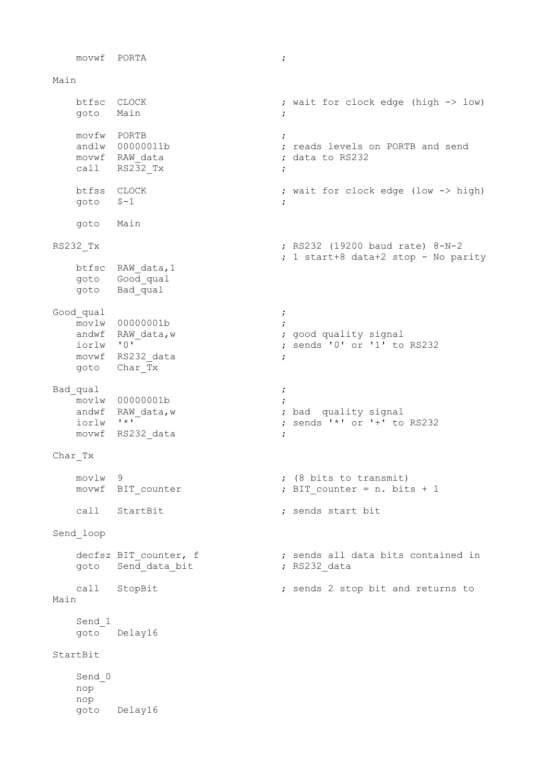movwf PORTA ; Main btfsc CLOCK ; wait for clock edge (high -> low) goto Main ; movfw PORTB ; %, reads levels on PORTB and send<br>
; data to RS232 mover renear<br>andlw 00000011b<br>movwf RAW\_data call  $RS2\overline{3}2\overline{x}$  btfss CLOCK ; wait for clock edge (low -> high) goto  $$-1$  ; goto Main RS232 Tx ; RS232 (19200 baud rate) 8-N-2 ; 1 start+8 data+2 stop - No parity btfsc RAW\_data,1 goto Good\_qual goto Bad qual Good qual in the set of the set of the set of the set of the set of the set of the set of the set of the set of the set of the set of the set of the set of the set of the set of the set of the set of the set of the set of movlw 00000001b ;<br>andwf RAW\_data,w ; andwf RAW\_data,w <br>iorlw '0' <br>; sends '0' or '1' to ; sends '0' or '1' to RS232 movwf RS232 data ; goto Char\_Tx Bad qual intervals and  $\mathbf{z}$  is a set of  $\mathbf{z}$  is a set of  $\mathbf{z}$  is a set of  $\mathbf{z}$  is a set of  $\mathbf{z}$  is a set of  $\mathbf{z}$  is a set of  $\mathbf{z}$  is a set of  $\mathbf{z}$  is a set of  $\mathbf{z}$  is a set of  $\mathbf{z}$  i movlw 00000001b<br>andwf RAW\_data,w<br>iorlw '\*' ; bad quality signal ; sends  $' *'$  or  $' +'$  to RS232 movwf RS232 data ; Char\_Tx movlw 9<br>movwf BIT counter (8 bits to transmit)<br>; BIT counter = n. bits ; BIT counter = n. bits + 1 call StartBit **;** sends start bit Send\_loop decfsz BIT\_counter, f  $\qquad \qquad ;$  sends all data bits contained in goto Send\_data\_bit **;** RS232\_data call StopBit ; sends 2 stop bit and returns to Main Send\_1 goto Delay16 StartBit Send\_0 nop nop goto Delay16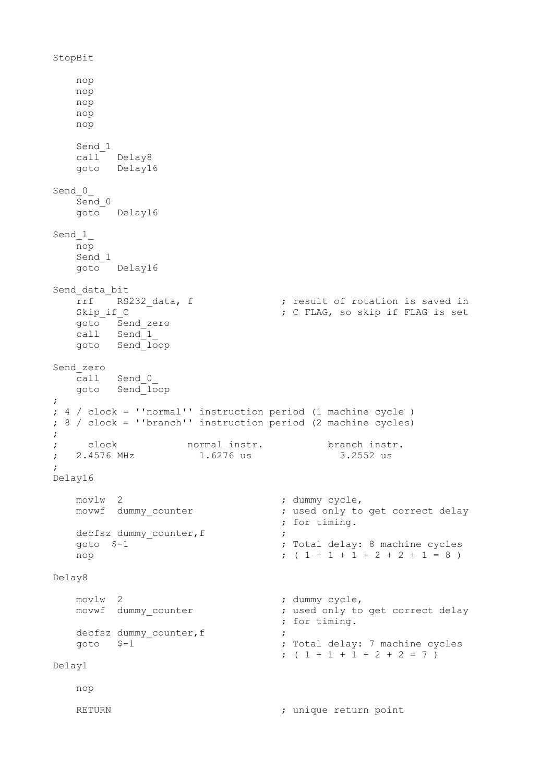```
StopBit
    nop
    nop
    nop
    nop
    nop
    Send_1
   call Delay8
    goto Delay16
Send 0
   Send 0 goto Delay16
Send 1
    nop
    Send_1
    goto Delay16
Send data bit
rrf RS232_data, f \qquad \qquad ; result of rotation is saved in
 Skip_if_C ; C FLAG, so skip if FLAG is set
 goto Send_zero
 call Send_1_
    goto Send_loop
Send_zero
   call Send_0_
  goto Send<sup>-1</sup>oop
;
; 4 / clock = ''normal'' instruction period (1 machine cycle )
; 8 / clock = ''branch'' instruction period (2 machine cycles)
;
; clock normal instr. branch instr. 
; 2.4576 MHz 1.6276 us 3.2552 us
;
Delay16
   movlw 2 <br>
movwf dummy_counter <br>
; used only to
                               ; used only to get correct delay
                                 ; for timing.
   decfsz dummy counter, f
    goto $-1 ; Total delay: 8 machine cycles
   nop (1 + 1 + 1 + 2 + 2 + 1 = 8)Delay8
    movlw 2 ; dummy cycle,
   movwf dummy counter \cdot ; used only to get correct delay
                                ; for timing.
   decfsz dummy counter, f
    goto $-1 ; Total delay: 7 machine cycles
                                ; (1 + 1 + 1 + 2 + 2 = 7)Delay1
    nop
   RETURN EXECURENT ENGL return point \mathbf{i}
```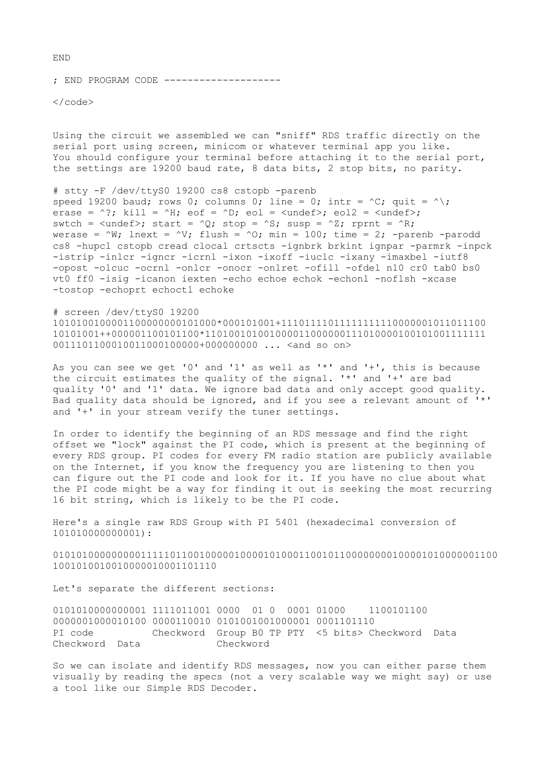; END PROGRAM CODE --------------------

 $\langle$ /code>

Using the circuit we assembled we can "sniff" RDS traffic directly on the serial port using screen, minicom or whatever terminal app you like. You should configure your terminal before attaching it to the serial port, the settings are 19200 baud rate, 8 data bits, 2 stop bits, no parity.

# stty -F /dev/ttyS0 19200 cs8 cstopb -parenb speed 19200 baud; rows 0; columns 0; line = 0; intr =  $\text{C}$ ; quit =  $\text{A}$ ; erase = ^?; kill = ^H; eof = ^D; eol =  $\langle$ undef>; eol2 =  $\langle$ undef>; swtch =  $\langle \text{undef} \rangle$ ; start =  $\langle 0 \rangle$ ; stop =  $\langle S \rangle$ ; susp =  $\langle Z \rangle$ ; rprnt =  $\langle R \rangle$ ; werase =  $\wedge$ W; lnext =  $\wedge$ V; flush =  $\wedge$ O; min = 100; time = 2; -parenb -parodd cs8 -hupcl cstopb cread clocal crtscts -ignbrk brkint ignpar -parmrk -inpck -istrip -inlcr -igncr -icrnl -ixon -ixoff -iuclc -ixany -imaxbel -iutf8 -opost -olcuc -ocrnl -onlcr -onocr -onlret -ofill -ofdel nl0 cr0 tab0 bs0 vt0 ff0 -isig -icanon iexten -echo echoe echok -echonl -noflsh -xcase -tostop -echoprt echoctl echoke

# screen /dev/ttyS0 19200 1010100100001100000000101000\*000101001+11101111011111111110000001011011100 10101001++000001100101100\*110100101001000011000000111010000100101001111111 0011101100010011000100000+0000000000 ... <and so on>

As you can see we get '0' and '1' as well as '\*' and '+', this is because the circuit estimates the quality of the signal. '\*' and '+' are bad quality '0' and '1' data. We ignore bad data and only accept good quality. Bad quality data should be ignored, and if you see a relevant amount of '\*' and '+' in your stream verify the tuner settings.

In order to identify the beginning of an RDS message and find the right offset we "lock" against the PI code, which is present at the beginning of every RDS group. PI codes for every FM radio station are publicly available on the Internet, if you know the frequency you are listening to then you can figure out the PI code and look for it. If you have no clue about what the PI code might be a way for finding it out is seeking the most recurring 16 bit string, which is likely to be the PI code.

Here's a single raw RDS Group with PI 5401 (hexadecimal conversion of 101010000000001):

0101010000000001111101100100000100001010001100101100000000100001010000001100 1001010010010000010001101110

Let's separate the different sections:

0101010000000001 1111011001 0000 01 0 0001 01000 1100101100 0000001000010100 0000110010 0101001001000001 0001101110 PI code Checkword Group B0 TP PTY <5 bits> Checkword Data Checkword Data Checkword

So we can isolate and identify RDS messages, now you can either parse them visually by reading the specs (not a very scalable way we might say) or use a tool like our Simple RDS Decoder.

END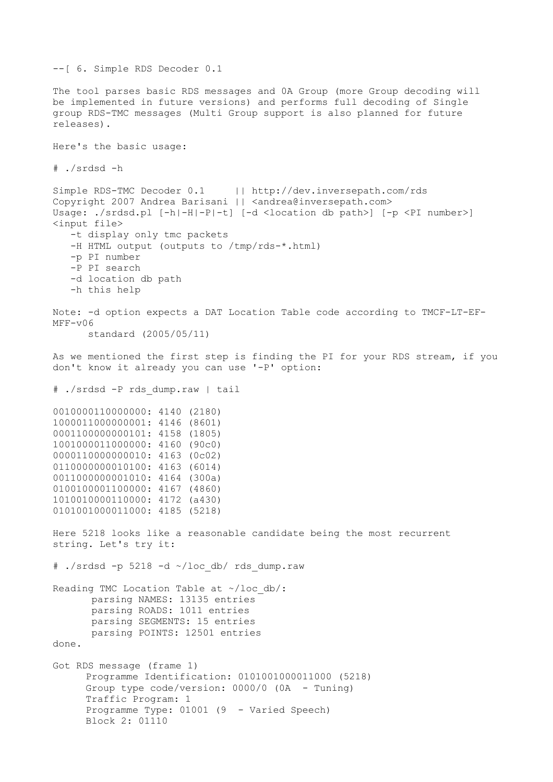```
--[ 6. Simple RDS Decoder 0.1
The tool parses basic RDS messages and 0A Group (more Group decoding will
be implemented in future versions) and performs full decoding of Single
group RDS-TMC messages (Multi Group support is also planned for future
releases).
Here's the basic usage:
# ./srdsd -h
Simple RDS-TMC Decoder 0.1 | http://dev.inversepath.com/rds
Copyright 2007 Andrea Barisani | | <andrea@inversepath.com>
Usage: ./srdsd.pl [-h|-H|-P|-t] [-d <location db path>] [-p <PI number>]
<input file>
    -t display only tmc packets
    -H HTML output (outputs to /tmp/rds-*.html)
    -p PI number
    -P PI search
    -d location db path
    -h this help
Note: -d option expects a DAT Location Table code according to TMCF-LT-EF-
MFF-v06 
       standard (2005/05/11)
As we mentioned the first step is finding the PI for your RDS stream, if you
don't know it already you can use '-P' option:
# ./srdsd -P rds_dump.raw | tail
0010000110000000: 4140 (2180)
1000011000000001: 4146 (8601)
0001100000000101: 4158 (1805)
1001000011000000: 4160 (90c0)
0000110000000010: 4163 (0c02)
0110000000010100: 4163 (6014)
0011000000001010: 4164 (300a)
0100100001100000: 4167 (4860)
1010010000110000: 4172 (a430)
0101001000011000: 4185 (5218)
Here 5218 looks like a reasonable candidate being the most recurrent
string. Let's try it:
\#./srdsd -p 5218 -d ~/loc db/ rds dump.raw
Reading TMC Location Table at ~/loc db/:
       parsing NAMES: 13135 entries
       parsing ROADS: 1011 entries
       parsing SEGMENTS: 15 entries
       parsing POINTS: 12501 entries
done.
Got RDS message (frame 1)
     Programme Identification: 0101001000011000 (5218)
     Group type code/version: 0000/0 (0A - Tuning)
     Traffic Program: 1
     Programme Type: 01001 (9 - Varied Speech)
     Block 2: 01110
```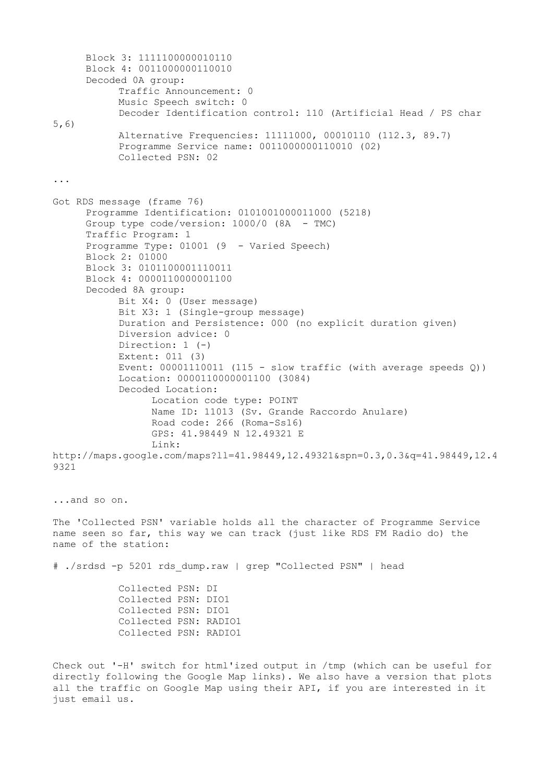Block 3: 1111100000010110 Block 4: 0011000000110010 Decoded 0A group: Traffic Announcement: 0 Music Speech switch: 0 Decoder Identification control: 110 (Artificial Head / PS char 5,6) Alternative Frequencies: 11111000, 00010110 (112.3, 89.7) Programme Service name: 0011000000110010 (02) Collected PSN: 02 ... Got RDS message (frame 76) Programme Identification: 0101001000011000 (5218) Group type code/version: 1000/0 (8A - TMC) Traffic Program: 1 Programme Type: 01001 (9 - Varied Speech) Block 2: 01000 Block 3: 0101100001110011 Block 4: 0000110000001100 Decoded 8A group: Bit X4: 0 (User message) Bit X3: 1 (Single-group message) Duration and Persistence: 000 (no explicit duration given) Diversion advice: 0 Direction: 1 (-) Extent: 011 (3) Event: 00001110011 (115 - slow traffic (with average speeds Q)) Location: 0000110000001100 (3084) Decoded Location: Location code type: POINT Name ID: 11013 (Sv. Grande Raccordo Anulare) Road code: 266 (Roma-Ss16) GPS: 41.98449 N 12.49321 E Link: http://maps.google.com/maps?ll=41.98449,12.49321&spn=0.3,0.3&q=41.98449,12.4 9321 ...and so on. The 'Collected PSN' variable holds all the character of Programme Service name seen so far, this way we can track (just like RDS FM Radio do) the name of the station: # ./srdsd -p 5201 rds\_dump.raw | grep "Collected PSN" | head Collected PSN: DI Collected PSN: DIO1 Collected PSN: DIO1 Collected PSN: RADIO1 Collected PSN: RADIO1 Check out '-H' switch for html'ized output in /tmp (which can be useful for

directly following the Google Map links). We also have a version that plots all the traffic on Google Map using their API, if you are interested in it just email us.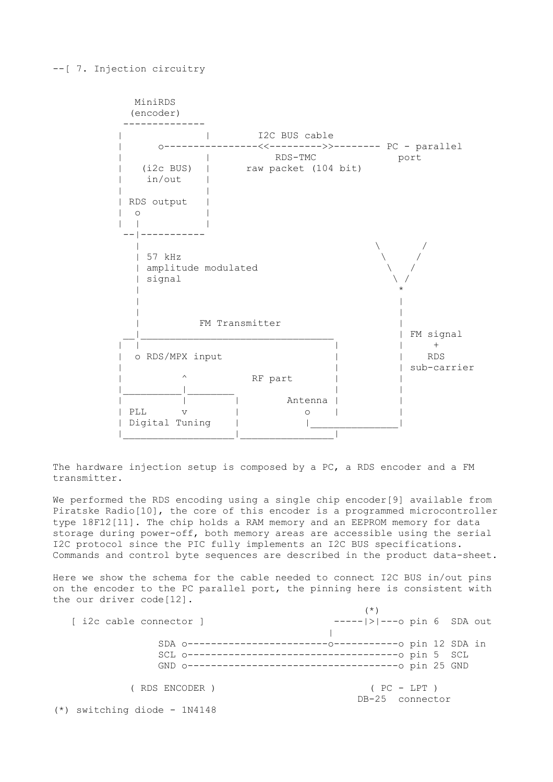## --[ 7. Injection circuitry

 MiniRDS (encoder) -------------- | | I2C BUS cable | o----------------<<--------->>-------- PC - parallel | | RDS-TMC port | (i2c BUS) | raw packet (104 bit) | in/out | | | | RDS output |  $| 0$  | | | --|-----------  $\qquad \qquad$   $\qquad \qquad$   $\qquad$   $\qquad \qquad$   $\qquad$   $\qquad$   $\qquad$   $\qquad$   $\qquad$   $\qquad$   $\qquad$   $\qquad$   $\qquad$   $\qquad$   $\qquad$   $\qquad$   $\qquad$   $\qquad$   $\qquad$   $\qquad$   $\qquad$   $\qquad$   $\qquad$   $\qquad$   $\qquad$   $\qquad$   $\qquad$   $\qquad$   $\qquad$   $\qquad$   $\qquad$   $\qquad$   $\qquad$   $\qquad$   $\qquad$   $\$  | 57 kHz \ / | amplitude modulated \ / | signal \ / | \* | | | | FM Transmitter \_\_|\_\_\_\_\_\_\_\_\_\_\_\_\_\_\_\_\_\_\_\_\_\_\_\_\_\_\_\_\_\_\_\_\_ | FM signal  $|$   $|$   $|$   $|$   $|$   $|$   $|$ o RDS/MPX input  $|$  | RDS | sub-carrier  $\land$  RF part | |\_\_\_\_\_\_\_\_\_\_|\_\_\_\_\_\_\_\_ | | | | | Antenna | | | PLL v | o | | | Digital Tuning | |\_\_\_\_\_\_\_\_\_\_\_\_\_\_\_| |\_\_\_\_\_\_\_\_\_\_\_\_\_\_\_\_\_\_\_|\_\_\_\_\_\_\_\_\_\_\_\_\_\_\_\_|

The hardware injection setup is composed by a PC, a RDS encoder and a FM transmitter.

We performed the RDS encoding using a single chip encoder[9] available from Piratske Radio[10], the core of this encoder is a programmed microcontroller type 18F12[11]. The chip holds a RAM memory and an EEPROM memory for data storage during power-off, both memory areas are accessible using the serial I2C protocol since the PIC fully implements an I2C BUS specifications. Commands and control byte sequences are described in the product data-sheet.

Here we show the schema for the cable needed to connect I2C BUS in/out pins on the encoder to the PC parallel port, the pinning here is consistent with the our driver code[12].

|                                | (* )                           |
|--------------------------------|--------------------------------|
| [ i2c cable connector ]        | $--- $ > $ ---o$ pin 6 SDA out |
|                                |                                |
|                                |                                |
|                                |                                |
|                                |                                |
| ( RDS ENCODER )                | $( PC - LPT)$                  |
|                                | DB-25 connector                |
| $(*)$ switching diode - 1N4148 |                                |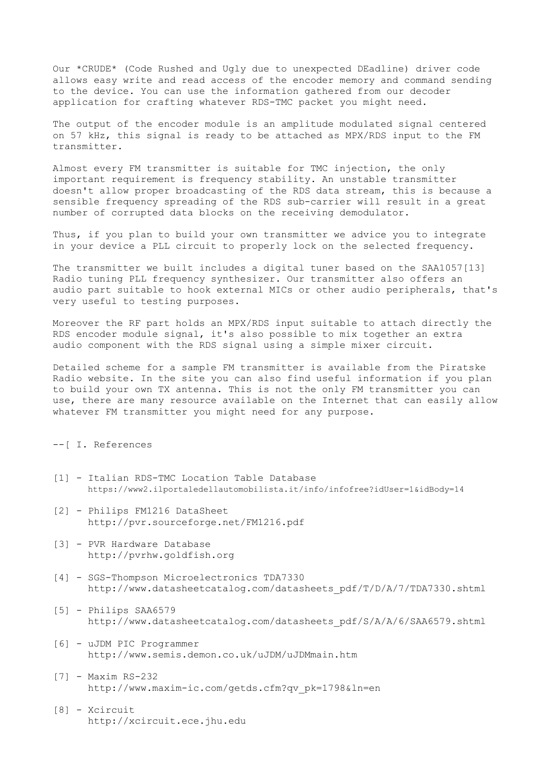Our \*CRUDE\* (Code Rushed and Ugly due to unexpected DEadline) driver code allows easy write and read access of the encoder memory and command sending to the device. You can use the information gathered from our decoder application for crafting whatever RDS-TMC packet you might need.

The output of the encoder module is an amplitude modulated signal centered on 57 kHz, this signal is ready to be attached as MPX/RDS input to the FM transmitter.

Almost every FM transmitter is suitable for TMC injection, the only important requirement is frequency stability. An unstable transmitter doesn't allow proper broadcasting of the RDS data stream, this is because a sensible frequency spreading of the RDS sub-carrier will result in a great number of corrupted data blocks on the receiving demodulator.

Thus, if you plan to build your own transmitter we advice you to integrate in your device a PLL circuit to properly lock on the selected frequency.

The transmitter we built includes a digital tuner based on the SAA1057[13] Radio tuning PLL frequency synthesizer. Our transmitter also offers an audio part suitable to hook external MICs or other audio peripherals, that's very useful to testing purposes.

Moreover the RF part holds an MPX/RDS input suitable to attach directly the RDS encoder module signal, it's also possible to mix together an extra audio component with the RDS signal using a simple mixer circuit.

Detailed scheme for a sample FM transmitter is available from the Piratske Radio website. In the site you can also find useful information if you plan to build your own TX antenna. This is not the only FM transmitter you can use, there are many resource available on the Internet that can easily allow whatever FM transmitter you might need for any purpose.

## --[ I. References

- [1] Italian RDS-TMC Location Table Database https://www2.ilportaledellautomobilista.it/info/infofree?idUser=1&idBody=14
- [2] Philips FM1216 DataSheet http://pvr.sourceforge.net/FM1216.pdf
- [3] PVR Hardware Database http://pvrhw.goldfish.org
- [4] SGS-Thompson Microelectronics TDA7330 http://www.datasheetcatalog.com/datasheets\_pdf/T/D/A/7/TDA7330.shtml
- [5] Philips SAA6579 http://www.datasheetcatalog.com/datasheets\_pdf/S/A/A/6/SAA6579.shtml
- [6] uJDM PIC Programmer http://www.semis.demon.co.uk/uJDM/uJDMmain.htm
- [7] Maxim RS-232 http://www.maxim-ic.com/getds.cfm?qv\_pk=1798&ln=en
- [8] Xcircuit http://xcircuit.ece.jhu.edu